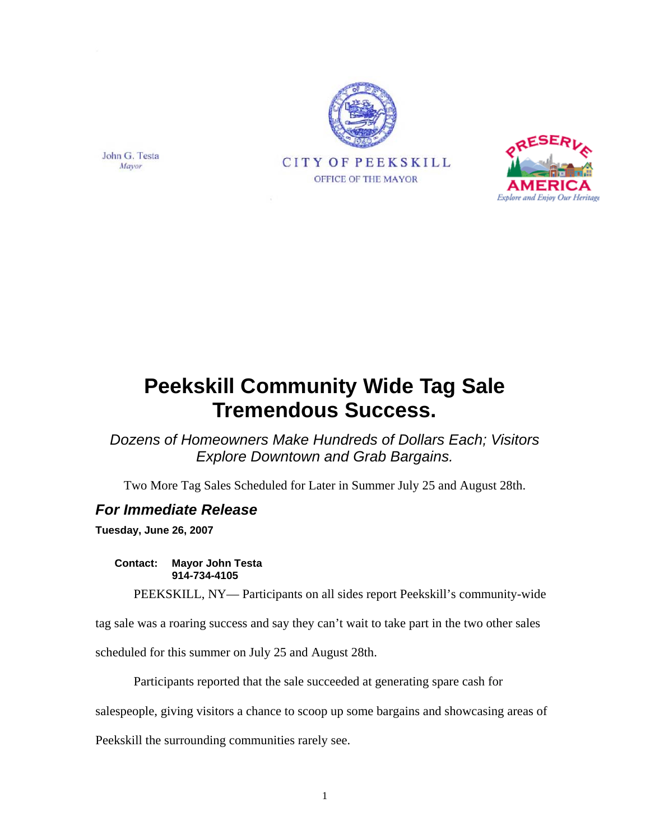





*Dozens of Homeowners Make Hundreds of Dollars Each; Visitors Explore Downtown and Grab Bargains.* 

Two More Tag Sales Scheduled for Later in Summer July 25 and August 28th.

## *For Immediate Release*

**Tuesday, June 26, 2007** 

John G. Testa

Mayor

**Contact: Mayor John Testa 914-734-4105** 

PEEKSKILL, NY— Participants on all sides report Peekskill's community-wide

tag sale was a roaring success and say they can't wait to take part in the two other sales

scheduled for this summer on July 25 and August 28th.

Participants reported that the sale succeeded at generating spare cash for

salespeople, giving visitors a chance to scoop up some bargains and showcasing areas of

Peekskill the surrounding communities rarely see.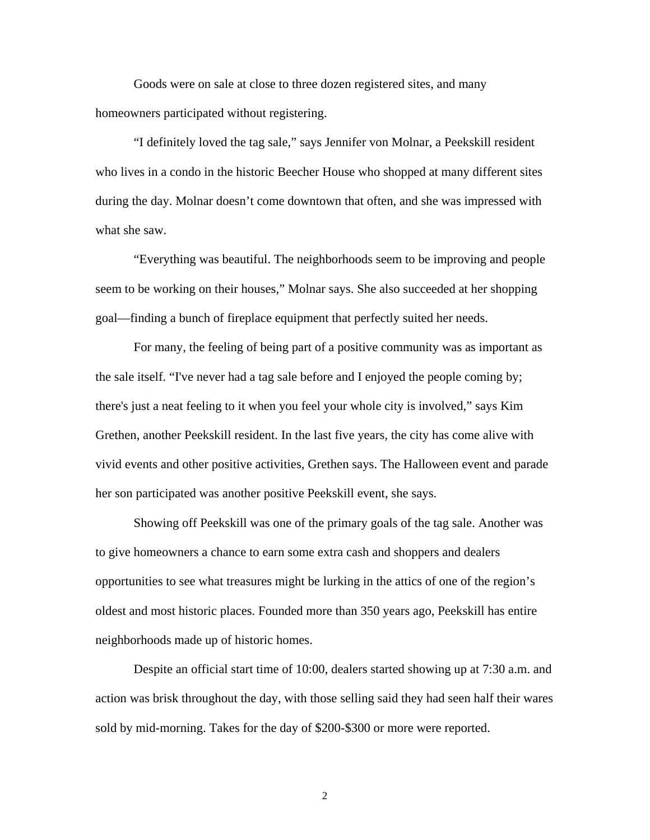Goods were on sale at close to three dozen registered sites, and many homeowners participated without registering.

"I definitely loved the tag sale," says Jennifer von Molnar, a Peekskill resident who lives in a condo in the historic Beecher House who shopped at many different sites during the day. Molnar doesn't come downtown that often, and she was impressed with what she saw.

"Everything was beautiful. The neighborhoods seem to be improving and people seem to be working on their houses," Molnar says. She also succeeded at her shopping goal—finding a bunch of fireplace equipment that perfectly suited her needs.

For many, the feeling of being part of a positive community was as important as the sale itself. "I've never had a tag sale before and I enjoyed the people coming by; there's just a neat feeling to it when you feel your whole city is involved," says Kim Grethen, another Peekskill resident. In the last five years, the city has come alive with vivid events and other positive activities, Grethen says. The Halloween event and parade her son participated was another positive Peekskill event, she says.

Showing off Peekskill was one of the primary goals of the tag sale. Another was to give homeowners a chance to earn some extra cash and shoppers and dealers opportunities to see what treasures might be lurking in the attics of one of the region's oldest and most historic places. Founded more than 350 years ago, Peekskill has entire neighborhoods made up of historic homes.

Despite an official start time of 10:00, dealers started showing up at 7:30 a.m. and action was brisk throughout the day, with those selling said they had seen half their wares sold by mid-morning. Takes for the day of \$200-\$300 or more were reported.

2